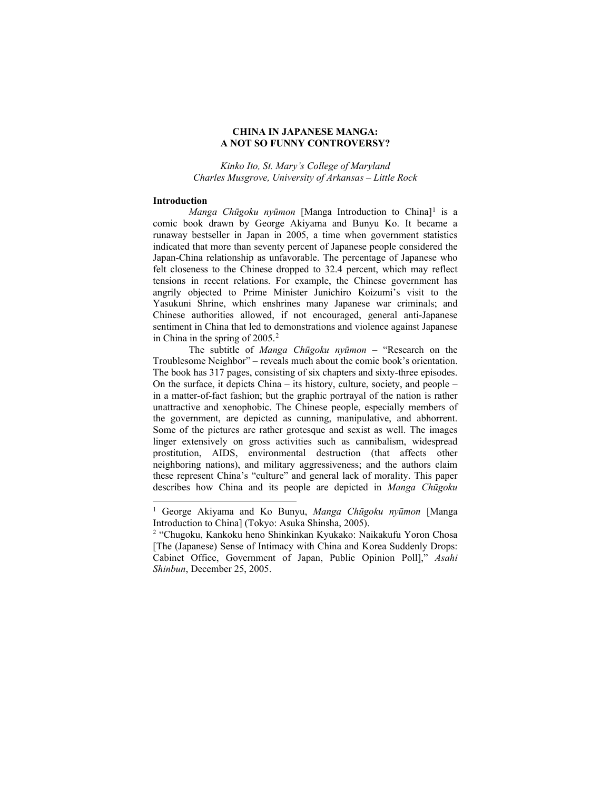## **CHINA IN JAPANESE MANGA: A NOT SO FUNNY CONTROVERSY?**

*Kinko Ito, St. Mary's College of Maryland Charles Musgrove, University of Arkansas – Little Rock*

### **Introduction**

*Manga Chūgoku nyūmon* [Manga Introduction to China]<sup>[1](#page-0-0)</sup> is a comic book drawn by George Akiyama and Bunyu Ko. It became a runaway bestseller in Japan in 2005, a time when government statistics indicated that more than seventy percent of Japanese people considered the Japan-China relationship as unfavorable. The percentage of Japanese who felt closeness to the Chinese dropped to 32.4 percent, which may reflect tensions in recent relations. For example, the Chinese government has angrily objected to Prime Minister Junichiro Koizumi's visit to the Yasukuni Shrine, which enshrines many Japanese war criminals; and Chinese authorities allowed, if not encouraged, general anti-Japanese sentiment in China that led to demonstrations and violence against Japanese in China in the spring of [2](#page-0-1)005.<sup>2</sup>

The subtitle of *Manga Chūgoku nyūmon* – "Research on the Troublesome Neighbor" – reveals much about the comic book's orientation. The book has 317 pages, consisting of six chapters and sixty-three episodes. On the surface, it depicts China – its history, culture, society, and people – in a matter-of-fact fashion; but the graphic portrayal of the nation is rather unattractive and xenophobic. The Chinese people, especially members of the government, are depicted as cunning, manipulative, and abhorrent. Some of the pictures are rather grotesque and sexist as well. The images linger extensively on gross activities such as cannibalism, widespread prostitution, AIDS, environmental destruction (that affects other neighboring nations), and military aggressiveness; and the authors claim these represent China's "culture" and general lack of morality. This paper describes how China and its people are depicted in *Manga Chūgoku* 

<span id="page-0-0"></span><sup>1</sup> George Akiyama and Ko Bunyu, *Manga Chūgoku nyūmon* [Manga Introduction to China] (Tokyo: Asuka Shinsha, 2005).

<span id="page-0-1"></span><sup>2</sup> "Chugoku, Kankoku heno Shinkinkan Kyukako: Naikakufu Yoron Chosa [The (Japanese) Sense of Intimacy with China and Korea Suddenly Drops: Cabinet Office, Government of Japan, Public Opinion Poll]," *Asahi Shinbun*, December 25, 2005.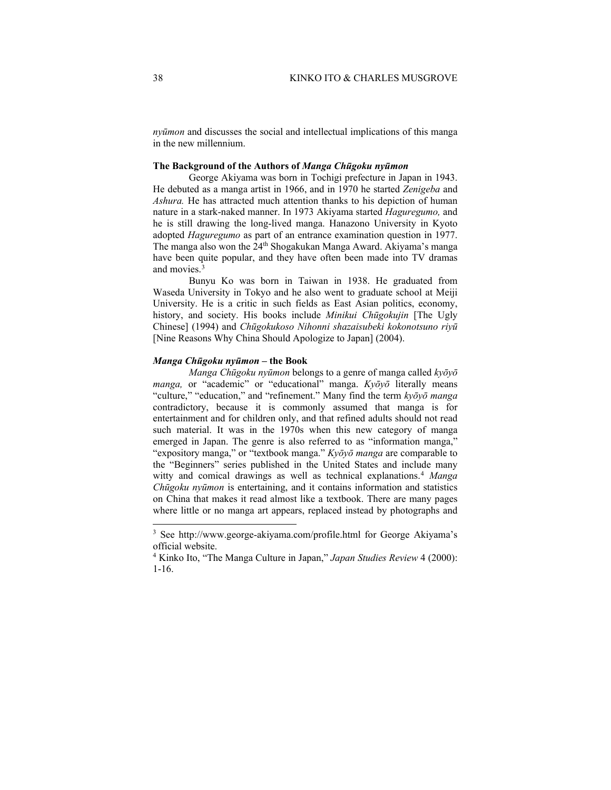*nyūmon* and discusses the social and intellectual implications of this manga in the new millennium.

## **The Background of the Authors of** *Manga Chūgoku nyūmon*

George Akiyama was born in Tochigi prefecture in Japan in 1943. He debuted as a manga artist in 1966, and in 1970 he started *Zenigeba* and *Ashura.* He has attracted much attention thanks to his depiction of human nature in a stark-naked manner. In 1973 Akiyama started *Haguregumo,* and he is still drawing the long-lived manga. Hanazono University in Kyoto adopted *Haguregumo* as part of an entrance examination question in 1977. The manga also won the 24<sup>th</sup> Shogakukan Manga Award. Akiyama's manga have been quite popular, and they have often been made into TV dramas and movies.<sup>[3](#page-1-0)</sup>

Bunyu Ko was born in Taiwan in 1938. He graduated from Waseda University in Tokyo and he also went to graduate school at Meiji University. He is a critic in such fields as East Asian politics, economy, history, and society. His books include *Minikui Chūgokujin* [The Ugly Chinese] (1994) and *Chūgokukoso Nihonni shazaisubeki kokonotsuno riyū*  [Nine Reasons Why China Should Apologize to Japan] (2004).

# *Manga Chūgoku nyūmon –* **the Book**

*Manga Chūgoku nyūmon* belongs to a genre of manga called *kyōyō manga,* or "academic" or "educational" manga. *Kyōyō* literally means "culture," "education," and "refinement." Many find the term *kyōyō manga*  contradictory, because it is commonly assumed that manga is for entertainment and for children only, and that refined adults should not read such material. It was in the 1970s when this new category of manga emerged in Japan. The genre is also referred to as "information manga," "expository manga," or "textbook manga." *Kyōyō manga* are comparable to the "Beginners" series published in the United States and include many witty and comical drawings as well as technical explanations.[4](#page-1-1) *Manga Chūgoku nyūmon* is entertaining, and it contains information and statistics on China that makes it read almost like a textbook. There are many pages where little or no manga art appears, replaced instead by photographs and

<span id="page-1-0"></span><sup>3</sup> See http://www.george-akiyama.com/profile.html for George Akiyama's official website.

<span id="page-1-1"></span><sup>4</sup> Kinko Ito, "The Manga Culture in Japan," *Japan Studies Review* 4 (2000): 1-16.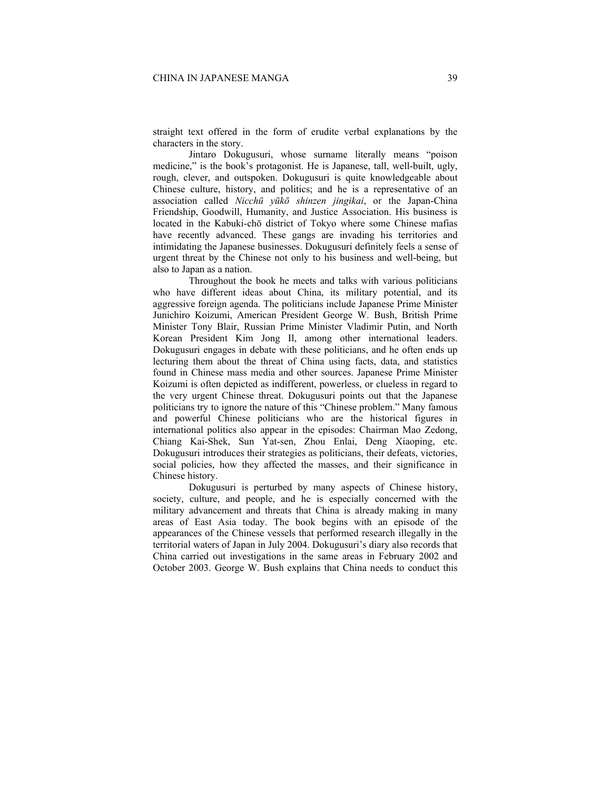straight text offered in the form of erudite verbal explanations by the characters in the story.

Jintaro Dokugusuri, whose surname literally means "poison medicine," is the book's protagonist. He is Japanese, tall, well-built, ugly, rough, clever, and outspoken. Dokugusuri is quite knowledgeable about Chinese culture, history, and politics; and he is a representative of an association called *Nicchū yūkō shinzen jingikai*, or the Japan-China Friendship, Goodwill, Humanity, and Justice Association. His business is located in the Kabuki-chō district of Tokyo where some Chinese mafias have recently advanced. These gangs are invading his territories and intimidating the Japanese businesses. Dokugusuri definitely feels a sense of urgent threat by the Chinese not only to his business and well-being, but also to Japan as a nation.

Throughout the book he meets and talks with various politicians who have different ideas about China, its military potential, and its aggressive foreign agenda. The politicians include Japanese Prime Minister Junichiro Koizumi, American President George W. Bush, British Prime Minister Tony Blair, Russian Prime Minister Vladimir Putin, and North Korean President Kim Jong Il, among other international leaders. Dokugusuri engages in debate with these politicians, and he often ends up lecturing them about the threat of China using facts, data, and statistics found in Chinese mass media and other sources. Japanese Prime Minister Koizumi is often depicted as indifferent, powerless, or clueless in regard to the very urgent Chinese threat. Dokugusuri points out that the Japanese politicians try to ignore the nature of this "Chinese problem." Many famous and powerful Chinese politicians who are the historical figures in international politics also appear in the episodes: Chairman Mao Zedong, Chiang Kai-Shek, Sun Yat-sen, Zhou Enlai, Deng Xiaoping, etc. Dokugusuri introduces their strategies as politicians, their defeats, victories, social policies, how they affected the masses, and their significance in Chinese history.

Dokugusuri is perturbed by many aspects of Chinese history, society, culture, and people, and he is especially concerned with the military advancement and threats that China is already making in many areas of East Asia today. The book begins with an episode of the appearances of the Chinese vessels that performed research illegally in the territorial waters of Japan in July 2004. Dokugusuri's diary also records that China carried out investigations in the same areas in February 2002 and October 2003. George W. Bush explains that China needs to conduct this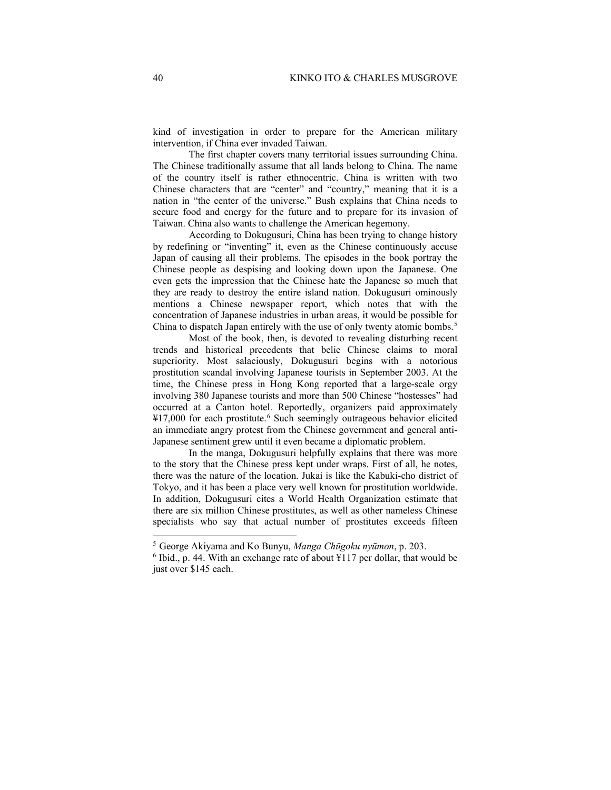kind of investigation in order to prepare for the American military intervention, if China ever invaded Taiwan.

The first chapter covers many territorial issues surrounding China. The Chinese traditionally assume that all lands belong to China. The name of the country itself is rather ethnocentric. China is written with two Chinese characters that are "center" and "country," meaning that it is a nation in "the center of the universe." Bush explains that China needs to secure food and energy for the future and to prepare for its invasion of Taiwan. China also wants to challenge the American hegemony.

According to Dokugusuri, China has been trying to change history by redefining or "inventing" it, even as the Chinese continuously accuse Japan of causing all their problems. The episodes in the book portray the Chinese people as despising and looking down upon the Japanese. One even gets the impression that the Chinese hate the Japanese so much that they are ready to destroy the entire island nation. Dokugusuri ominously mentions a Chinese newspaper report, which notes that with the concentration of Japanese industries in urban areas, it would be possible for China to dispatch Japan entirely with the use of only twenty atomic bombs. [5](#page-3-0)

Most of the book, then, is devoted to revealing disturbing recent trends and historical precedents that belie Chinese claims to moral superiority. Most salaciously, Dokugusuri begins with a notorious prostitution scandal involving Japanese tourists in September 2003. At the time, the Chinese press in Hong Kong reported that a large-scale orgy involving 380 Japanese tourists and more than 500 Chinese "hostesses" had occurred at a Canton hotel. Reportedly, organizers paid approximately ¥17,000 for each prostitute.[6](#page-3-1) Such seemingly outrageous behavior elicited an immediate angry protest from the Chinese government and general anti-Japanese sentiment grew until it even became a diplomatic problem.

In the manga, Dokugusuri helpfully explains that there was more to the story that the Chinese press kept under wraps. First of all, he notes, there was the nature of the location. Jukai is like the Kabuki-cho district of Tokyo, and it has been a place very well known for prostitution worldwide. In addition, Dokugusuri cites a World Health Organization estimate that there are six million Chinese prostitutes, as well as other nameless Chinese specialists who say that actual number of prostitutes exceeds fifteen

<sup>5</sup> George Akiyama and Ko Bunyu, *Manga Chūgoku nyūmon*, p. 203.

<span id="page-3-1"></span><span id="page-3-0"></span> $6$  Ibid., p. 44. With an exchange rate of about  $\frac{1}{2}$  117 per dollar, that would be just over \$145 each.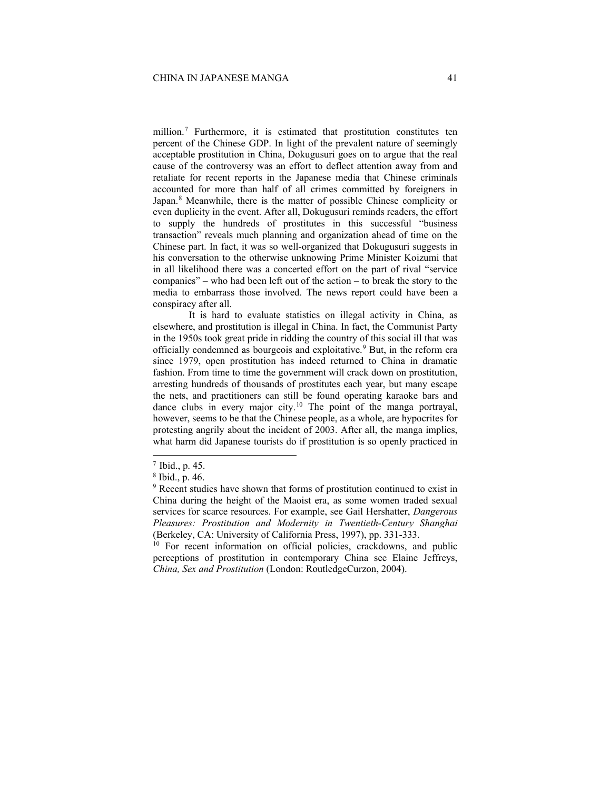million.[7](#page-4-0) Furthermore, it is estimated that prostitution constitutes ten percent of the Chinese GDP. In light of the prevalent nature of seemingly acceptable prostitution in China, Dokugusuri goes on to argue that the real cause of the controversy was an effort to deflect attention away from and retaliate for recent reports in the Japanese media that Chinese criminals accounted for more than half of all crimes committed by foreigners in Japan.<sup>[8](#page-4-1)</sup> Meanwhile, there is the matter of possible Chinese complicity or even duplicity in the event. After all, Dokugusuri reminds readers, the effort to supply the hundreds of prostitutes in this successful "business transaction" reveals much planning and organization ahead of time on the Chinese part. In fact, it was so well-organized that Dokugusuri suggests in his conversation to the otherwise unknowing Prime Minister Koizumi that in all likelihood there was a concerted effort on the part of rival "service companies" – who had been left out of the action – to break the story to the media to embarrass those involved. The news report could have been a conspiracy after all.

It is hard to evaluate statistics on illegal activity in China, as elsewhere, and prostitution is illegal in China. In fact, the Communist Party in the 1950s took great pride in ridding the country of this social ill that was officially condemned as bourgeois and exploitative.<sup>[9](#page-4-2)</sup> But, in the reform era since 1979, open prostitution has indeed returned to China in dramatic fashion. From time to time the government will crack down on prostitution, arresting hundreds of thousands of prostitutes each year, but many escape the nets, and practitioners can still be found operating karaoke bars and dance clubs in every major city.[10](#page-4-3) The point of the manga portrayal, however, seems to be that the Chinese people, as a whole, are hypocrites for protesting angrily about the incident of 2003. After all, the manga implies, what harm did Japanese tourists do if prostitution is so openly practiced in

<sup>7</sup> Ibid., p. 45.

<span id="page-4-2"></span><span id="page-4-1"></span><span id="page-4-0"></span><sup>8</sup> Ibid., p. 46.

<sup>&</sup>lt;sup>9</sup> Recent studies have shown that forms of prostitution continued to exist in China during the height of the Maoist era, as some women traded sexual services for scarce resources. For example, see Gail Hershatter, *Dangerous Pleasures: Prostitution and Modernity in Twentieth-Century Shanghai* (Berkeley, CA: University of California Press, 1997), pp. 331-333.<br><sup>10</sup> For recent information on official policies, crackdowns, and public

<span id="page-4-3"></span>perceptions of prostitution in contemporary China see Elaine Jeffreys, *China, Sex and Prostitution* (London: RoutledgeCurzon, 2004).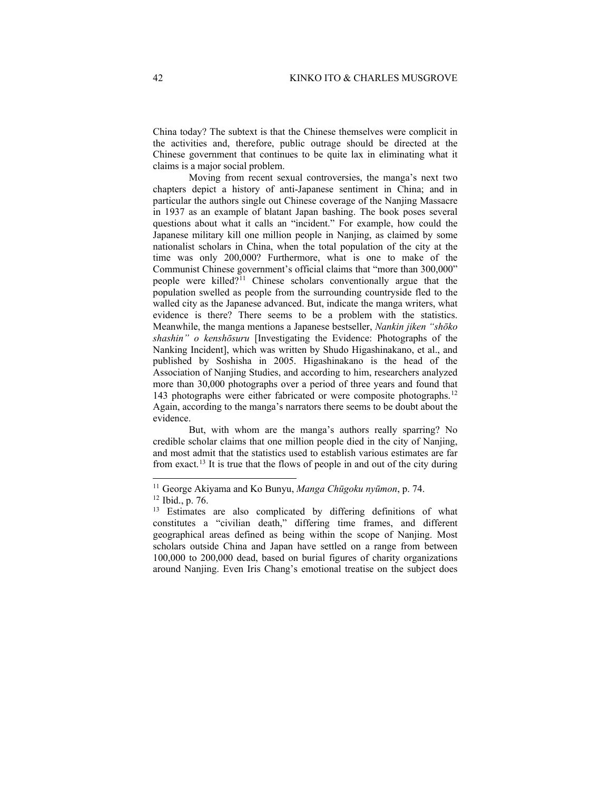China today? The subtext is that the Chinese themselves were complicit in the activities and, therefore, public outrage should be directed at the Chinese government that continues to be quite lax in eliminating what it claims is a major social problem.

Moving from recent sexual controversies, the manga's next two chapters depict a history of anti-Japanese sentiment in China; and in particular the authors single out Chinese coverage of the Nanjing Massacre in 1937 as an example of blatant Japan bashing. The book poses several questions about what it calls an "incident." For example, how could the Japanese military kill one million people in Nanjing, as claimed by some nationalist scholars in China, when the total population of the city at the time was only 200,000? Furthermore, what is one to make of the Communist Chinese government's official claims that "more than 300,000" people were killed?<sup>[11](#page-5-0)</sup> Chinese scholars conventionally argue that the population swelled as people from the surrounding countryside fled to the walled city as the Japanese advanced. But, indicate the manga writers, what evidence is there? There seems to be a problem with the statistics. Meanwhile, the manga mentions a Japanese bestseller, *Nankin jiken "shōko shashin" o kenshōsuru* [Investigating the Evidence: Photographs of the Nanking Incident], which was written by Shudo Higashinakano, et al., and published by Soshisha in 2005. Higashinakano is the head of the Association of Nanjing Studies, and according to him, researchers analyzed more than 30,000 photographs over a period of three years and found that 143 photographs were either fabricated or were composite photographs. [12](#page-5-1) Again, according to the manga's narrators there seems to be doubt about the evidence.

But, with whom are the manga's authors really sparring? No credible scholar claims that one million people died in the city of Nanjing, and most admit that the statistics used to establish various estimates are far from exact.[13](#page-5-2) It is true that the flows of people in and out of the city during

<span id="page-5-1"></span><span id="page-5-0"></span><sup>11</sup> George Akiyama and Ko Bunyu, *Manga Chūgoku nyūmon*, p. 74.

<sup>12</sup> Ibid., p. 76.

<span id="page-5-2"></span><sup>&</sup>lt;sup>13</sup> Estimates are also complicated by differing definitions of what constitutes a "civilian death," differing time frames, and different geographical areas defined as being within the scope of Nanjing. Most scholars outside China and Japan have settled on a range from between 100,000 to 200,000 dead, based on burial figures of charity organizations around Nanjing. Even Iris Chang's emotional treatise on the subject does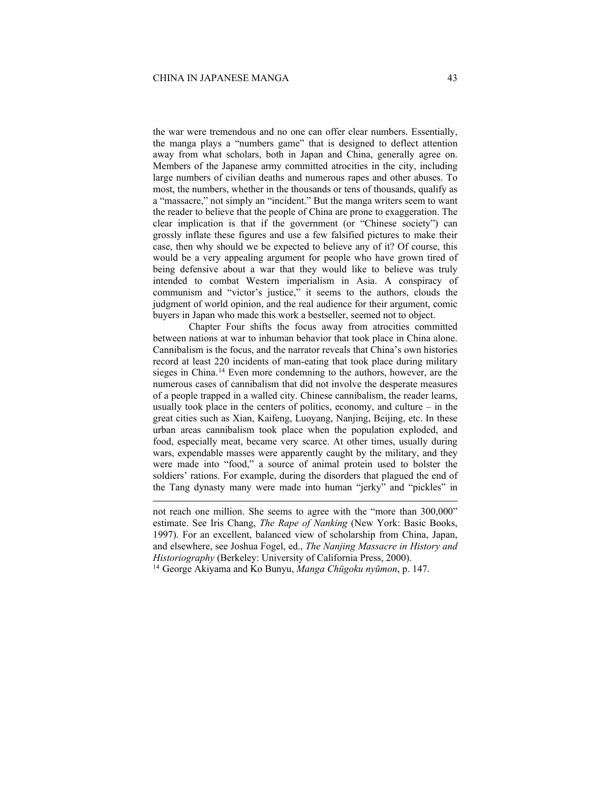the war were tremendous and no one can offer clear numbers. Essentially, the manga plays a "numbers game" that is designed to deflect attention away from what scholars, both in Japan and China, generally agree on. Members of the Japanese army committed atrocities in the city, including large numbers of civilian deaths and numerous rapes and other abuses. To most, the numbers, whether in the thousands or tens of thousands, qualify as a "massacre," not simply an "incident." But the manga writers seem to want the reader to believe that the people of China are prone to exaggeration. The clear implication is that if the government (or "Chinese society") can grossly inflate these figures and use a few falsified pictures to make their case, then why should we be expected to believe any of it? Of course, this would be a very appealing argument for people who have grown tired of being defensive about a war that they would like to believe was truly intended to combat Western imperialism in Asia. A conspiracy of communism and "victor's justice," it seems to the authors, clouds the judgment of world opinion, and the real audience for their argument, comic buyers in Japan who made this work a bestseller, seemed not to object.

Chapter Four shifts the focus away from atrocities committed between nations at war to inhuman behavior that took place in China alone. Cannibalism is the focus, and the narrator reveals that China's own histories record at least 220 incidents of man-eating that took place during military sieges in China.<sup>[14](#page-6-0)</sup> Even more condemning to the authors, however, are the numerous cases of cannibalism that did not involve the desperate measures of a people trapped in a walled city. Chinese cannibalism, the reader learns, usually took place in the centers of politics, economy, and culture  $-$  in the great cities such as Xian, Kaifeng, Luoyang, Nanjing, Beijing, etc. In these urban areas cannibalism took place when the population exploded, and food, especially meat, became very scarce. At other times, usually during wars, expendable masses were apparently caught by the military, and they were made into "food," a source of animal protein used to bolster the soldiers' rations. For example, during the disorders that plagued the end of the Tang dynasty many were made into human "jerky" and "pickles" in

not reach one million. She seems to agree with the "more than 300,000" estimate. See Iris Chang, *The Rape of Nanking* (New York: Basic Books, 1997). For an excellent, balanced view of scholarship from China, Japan, and elsewhere, see Joshua Fogel, ed., *The Nanjing Massacre in History and Historiography* (Berkeley: University of California Press, 2000).

<span id="page-6-0"></span><sup>14</sup> George Akiyama and Ko Bunyu, *Manga Chūgoku nyūmon*, p. 147.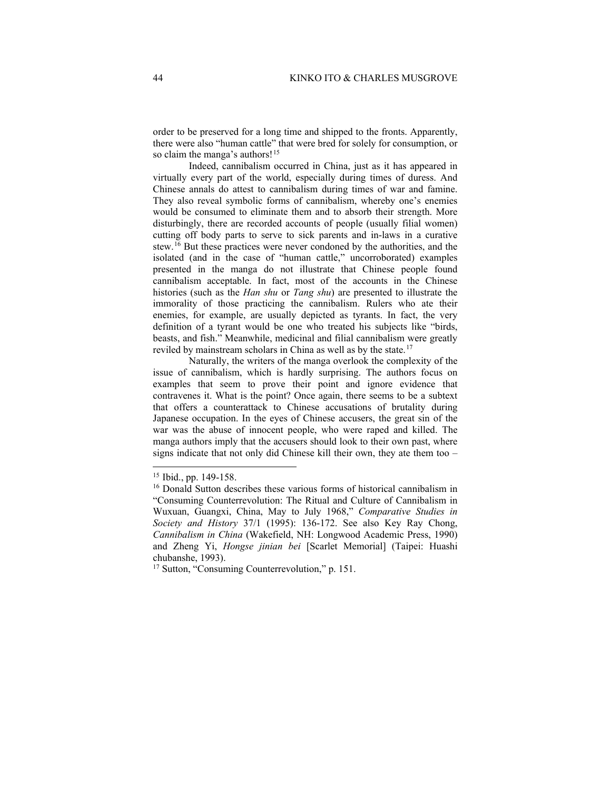order to be preserved for a long time and shipped to the fronts. Apparently, there were also "human cattle" that were bred for solely for consumption, or so claim the manga's authors!<sup>[15](#page-7-0)</sup>

Indeed, cannibalism occurred in China, just as it has appeared in virtually every part of the world, especially during times of duress. And Chinese annals do attest to cannibalism during times of war and famine. They also reveal symbolic forms of cannibalism, whereby one's enemies would be consumed to eliminate them and to absorb their strength. More disturbingly, there are recorded accounts of people (usually filial women) cutting off body parts to serve to sick parents and in-laws in a curative stew.<sup>[16](#page-7-1)</sup> But these practices were never condoned by the authorities, and the isolated (and in the case of "human cattle," uncorroborated) examples presented in the manga do not illustrate that Chinese people found cannibalism acceptable. In fact, most of the accounts in the Chinese histories (such as the *Han shu* or *Tang shu*) are presented to illustrate the immorality of those practicing the cannibalism. Rulers who ate their enemies, for example, are usually depicted as tyrants. In fact, the very definition of a tyrant would be one who treated his subjects like "birds, beasts, and fish." Meanwhile, medicinal and filial cannibalism were greatly reviled by mainstream scholars in China as well as by the state.<sup>[17](#page-7-2)</sup>

Naturally, the writers of the manga overlook the complexity of the issue of cannibalism, which is hardly surprising. The authors focus on examples that seem to prove their point and ignore evidence that contravenes it. What is the point? Once again, there seems to be a subtext that offers a counterattack to Chinese accusations of brutality during Japanese occupation. In the eyes of Chinese accusers, the great sin of the war was the abuse of innocent people, who were raped and killed. The manga authors imply that the accusers should look to their own past, where signs indicate that not only did Chinese kill their own, they ate them too –

<span id="page-7-0"></span><sup>15</sup> Ibid., pp. 149-158.

<span id="page-7-1"></span><sup>&</sup>lt;sup>16</sup> Donald Sutton describes these various forms of historical cannibalism in "Consuming Counterrevolution: The Ritual and Culture of Cannibalism in Wuxuan, Guangxi, China, May to July 1968," *Comparative Studies in Society and History* 37/1 (1995): 136-172. See also Key Ray Chong, *Cannibalism in China* (Wakefield, NH: Longwood Academic Press, 1990) and Zheng Yi, *Hongse jinian bei* [Scarlet Memorial] (Taipei: Huashi chubanshe, 1993).

<span id="page-7-2"></span><sup>&</sup>lt;sup>17</sup> Sutton, "Consuming Counterrevolution," p. 151.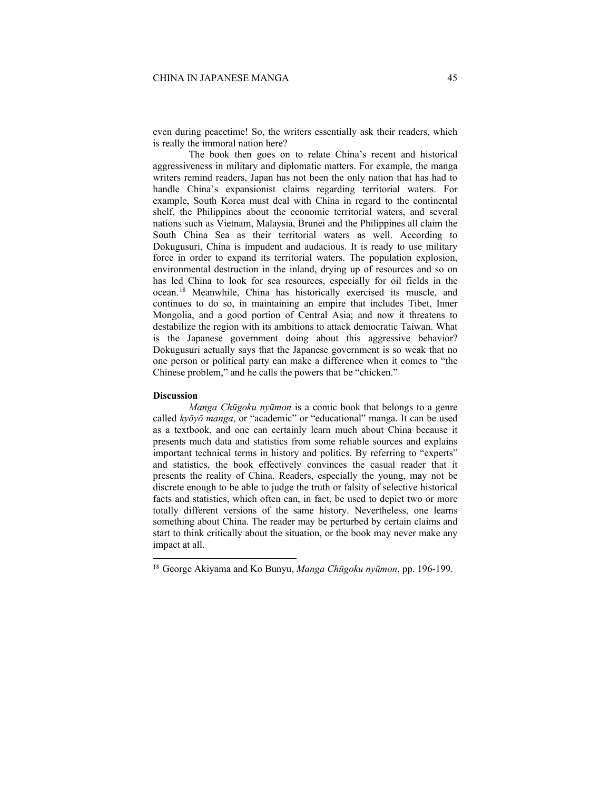even during peacetime! So, the writers essentially ask their readers, which is really the immoral nation here?

The book then goes on to relate China's recent and historical aggressiveness in military and diplomatic matters. For example, the manga writers remind readers, Japan has not been the only nation that has had to handle China's expansionist claims regarding territorial waters. For example, South Korea must deal with China in regard to the continental shelf, the Philippines about the economic territorial waters, and several nations such as Vietnam, Malaysia, Brunei and the Philippines all claim the South China Sea as their territorial waters as well. According to Dokugusuri, China is impudent and audacious. It is ready to use military force in order to expand its territorial waters. The population explosion, environmental destruction in the inland, drying up of resources and so on has led China to look for sea resources, especially for oil fields in the ocean. [18](#page-8-0) Meanwhile, China has historically exercised its muscle, and continues to do so, in maintaining an empire that includes Tibet, Inner Mongolia, and a good portion of Central Asia; and now it threatens to destabilize the region with its ambitions to attack democratic Taiwan. What is the Japanese government doing about this aggressive behavior? Dokugusuri actually says that the Japanese government is so weak that no one person or political party can make a difference when it comes to "the Chinese problem," and he calls the powers that be "chicken."

## **Discussion**

*Manga Chūgoku nyūmon* is a comic book that belongs to a genre called *kyōyō manga*, or "academic" or "educational" manga. It can be used as a textbook, and one can certainly learn much about China because it presents much data and statistics from some reliable sources and explains important technical terms in history and politics. By referring to "experts" and statistics, the book effectively convinces the casual reader that it presents the reality of China. Readers, especially the young, may not be discrete enough to be able to judge the truth or falsity of selective historical facts and statistics, which often can, in fact, be used to depict two or more totally different versions of the same history. Nevertheless, one learns something about China. The reader may be perturbed by certain claims and start to think critically about the situation, or the book may never make any impact at all.

<span id="page-8-0"></span><sup>18</sup> George Akiyama and Ko Bunyu, *Manga Chūgoku nyūmon*, pp. 196-199.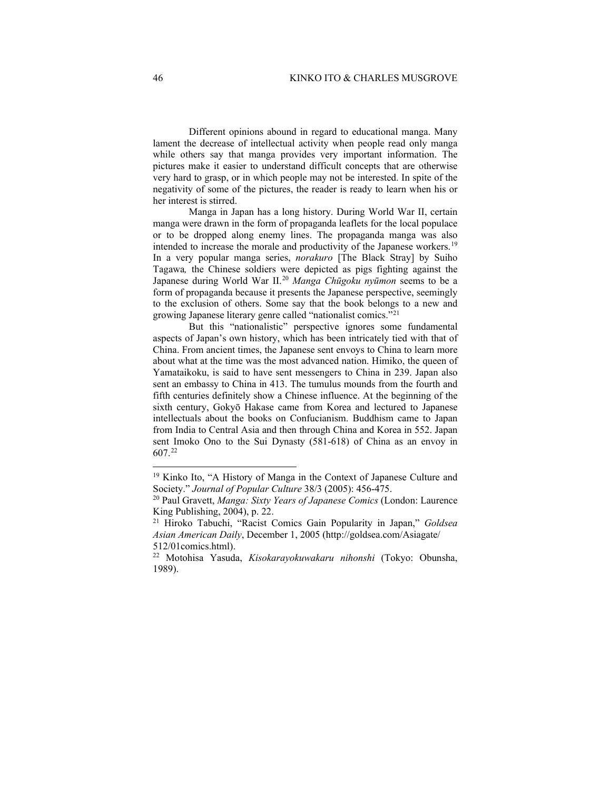Different opinions abound in regard to educational manga. Many lament the decrease of intellectual activity when people read only manga while others say that manga provides very important information. The pictures make it easier to understand difficult concepts that are otherwise very hard to grasp, or in which people may not be interested. In spite of the negativity of some of the pictures, the reader is ready to learn when his or her interest is stirred.

Manga in Japan has a long history. During World War II, certain manga were drawn in the form of propaganda leaflets for the local populace or to be dropped along enemy lines. The propaganda manga was also intended to increase the morale and productivity of the Japanese workers.<sup>[19](#page-9-0)</sup> In a very popular manga series, *norakuro* [The Black Stray] by Suiho Tagawa*,* the Chinese soldiers were depicted as pigs fighting against the Japanese during World War II.[20](#page-9-1) *Manga Chūgoku nyūmon* seems to be a form of propaganda because it presents the Japanese perspective, seemingly to the exclusion of others. Some say that the book belongs to a new and growing Japanese literary genre called "nationalist comics."[21](#page-9-2)

But this "nationalistic" perspective ignores some fundamental aspects of Japan's own history, which has been intricately tied with that of China. From ancient times, the Japanese sent envoys to China to learn more about what at the time was the most advanced nation. Himiko, the queen of Yamataikoku, is said to have sent messengers to China in 239. Japan also sent an embassy to China in 413. The tumulus mounds from the fourth and fifth centuries definitely show a Chinese influence. At the beginning of the sixth century, Gokyō Hakase came from Korea and lectured to Japanese intellectuals about the books on Confucianism. Buddhism came to Japan from India to Central Asia and then through China and Korea in 552. Japan sent Imoko Ono to the Sui Dynasty (581-618) of China as an envoy in 607.[22](#page-9-3)

<span id="page-9-0"></span><sup>19</sup> Kinko Ito, "A History of Manga in the Context of Japanese Culture and Society." *Journal of Popular Culture* 38/3 (2005): 456-475.

<span id="page-9-1"></span><sup>20</sup> Paul Gravett, *Manga: Sixty Years of Japanese Comics* (London: Laurence King Publishing, 2004), p. 22.

<sup>21</sup> Hiroko Tabuchi, "Racist Comics Gain Popularity in Japan," *Goldsea Asian American Daily*, December 1, 2005 (http://goldsea.com/Asiagate/

<span id="page-9-3"></span><span id="page-9-2"></span><sup>512/01</sup>comics.html). 22 Motohisa Yasuda, *Kisokarayokuwakaru nihonshi* (Tokyo: Obunsha, 1989).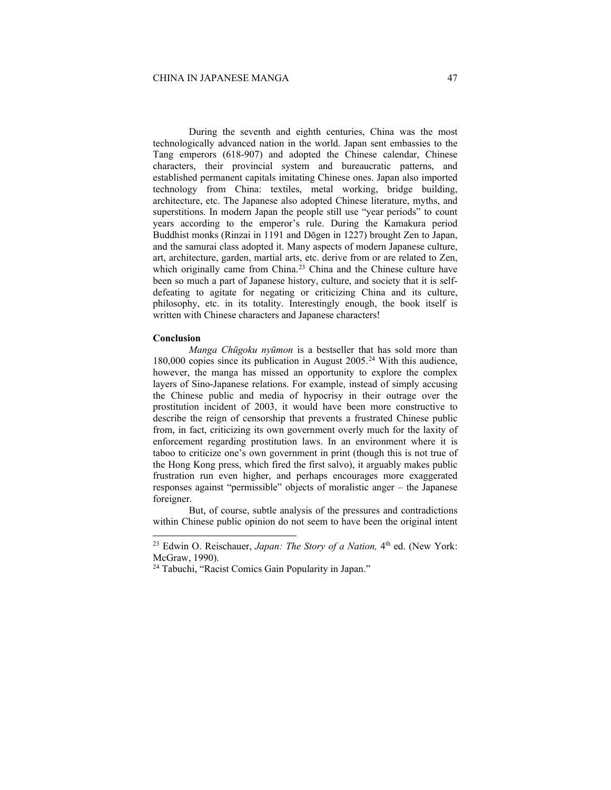During the seventh and eighth centuries, China was the most technologically advanced nation in the world. Japan sent embassies to the Tang emperors (618-907) and adopted the Chinese calendar, Chinese characters, their provincial system and bureaucratic patterns, and established permanent capitals imitating Chinese ones. Japan also imported technology from China: textiles, metal working, bridge building, architecture, etc. The Japanese also adopted Chinese literature, myths, and superstitions. In modern Japan the people still use "year periods" to count years according to the emperor's rule. During the Kamakura period Buddhist monks (Rinzai in 1191 and Dōgen in 1227) brought Zen to Japan, and the samurai class adopted it. Many aspects of modern Japanese culture, art, architecture, garden, martial arts, etc. derive from or are related to Zen, which originally came from China.<sup>[23](#page-10-0)</sup> China and the Chinese culture have been so much a part of Japanese history, culture, and society that it is selfdefeating to agitate for negating or criticizing China and its culture, philosophy, etc. in its totality. Interestingly enough, the book itself is written with Chinese characters and Japanese characters!

### **Conclusion**

*Manga Chūgoku nyūmon* is a bestseller that has sold more than 180,000 copies since its publication in August 2005.[24](#page-10-1) With this audience, however, the manga has missed an opportunity to explore the complex layers of Sino-Japanese relations. For example, instead of simply accusing the Chinese public and media of hypocrisy in their outrage over the prostitution incident of 2003, it would have been more constructive to describe the reign of censorship that prevents a frustrated Chinese public from, in fact, criticizing its own government overly much for the laxity of enforcement regarding prostitution laws. In an environment where it is taboo to criticize one's own government in print (though this is not true of the Hong Kong press, which fired the first salvo), it arguably makes public frustration run even higher, and perhaps encourages more exaggerated responses against "permissible" objects of moralistic anger – the Japanese foreigner.

But, of course, subtle analysis of the pressures and contradictions within Chinese public opinion do not seem to have been the original intent

<span id="page-10-0"></span><sup>&</sup>lt;sup>23</sup> Edwin O. Reischauer, *Japan: The Story of a Nation*, 4<sup>th</sup> ed. (New York: McGraw, 1990).

<span id="page-10-1"></span><sup>24</sup> Tabuchi, "Racist Comics Gain Popularity in Japan."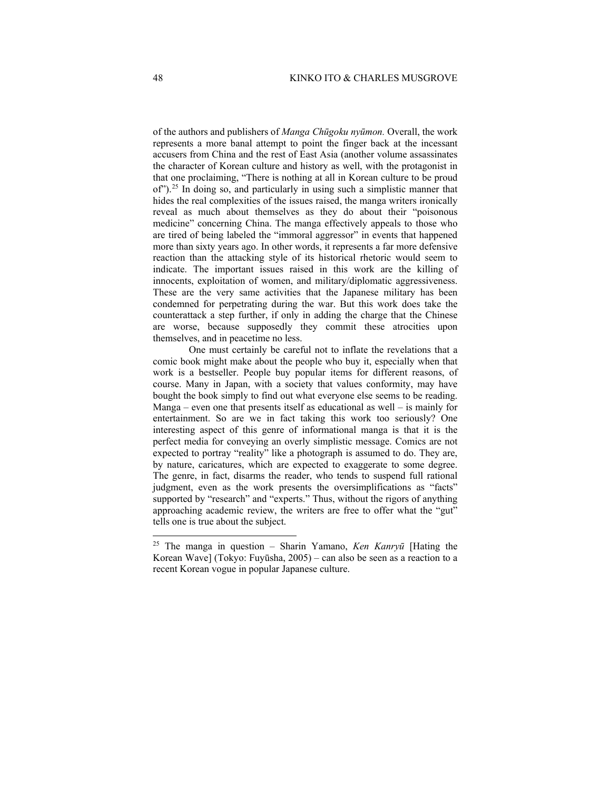of the authors and publishers of *Manga Chūgoku nyūmon.* Overall, the work represents a more banal attempt to point the finger back at the incessant accusers from China and the rest of East Asia (another volume assassinates the character of Korean culture and history as well, with the protagonist in that one proclaiming, "There is nothing at all in Korean culture to be proud of").[25](#page-11-0) In doing so, and particularly in using such a simplistic manner that hides the real complexities of the issues raised, the manga writers ironically reveal as much about themselves as they do about their "poisonous medicine" concerning China. The manga effectively appeals to those who are tired of being labeled the "immoral aggressor" in events that happened more than sixty years ago. In other words, it represents a far more defensive reaction than the attacking style of its historical rhetoric would seem to indicate. The important issues raised in this work are the killing of innocents, exploitation of women, and military/diplomatic aggressiveness. These are the very same activities that the Japanese military has been condemned for perpetrating during the war. But this work does take the counterattack a step further, if only in adding the charge that the Chinese are worse, because supposedly they commit these atrocities upon themselves, and in peacetime no less.

One must certainly be careful not to inflate the revelations that a comic book might make about the people who buy it, especially when that work is a bestseller. People buy popular items for different reasons, of course. Many in Japan, with a society that values conformity, may have bought the book simply to find out what everyone else seems to be reading. Manga – even one that presents itself as educational as well – is mainly for entertainment. So are we in fact taking this work too seriously? One interesting aspect of this genre of informational manga is that it is the perfect media for conveying an overly simplistic message. Comics are not expected to portray "reality" like a photograph is assumed to do. They are, by nature, caricatures, which are expected to exaggerate to some degree. The genre, in fact, disarms the reader, who tends to suspend full rational judgment, even as the work presents the oversimplifications as "facts" supported by "research" and "experts." Thus, without the rigors of anything approaching academic review, the writers are free to offer what the "gut" tells one is true about the subject.

<span id="page-11-0"></span><sup>25</sup> The manga in question – Sharin Yamano, *Ken Kanryū* [Hating the Korean Wave] (Tokyo: Fuyūsha, 2005) – can also be seen as a reaction to a recent Korean vogue in popular Japanese culture.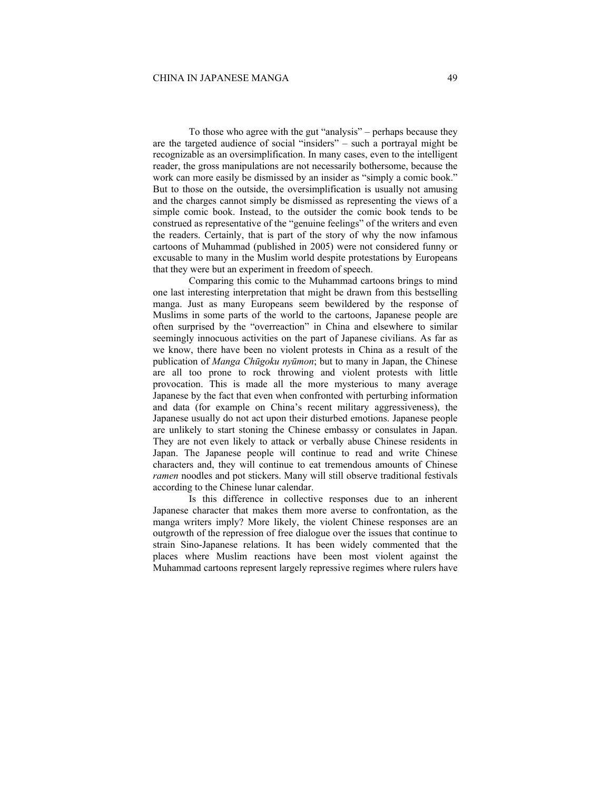To those who agree with the gut "analysis" – perhaps because they are the targeted audience of social "insiders" – such a portrayal might be recognizable as an oversimplification. In many cases, even to the intelligent reader, the gross manipulations are not necessarily bothersome, because the work can more easily be dismissed by an insider as "simply a comic book." But to those on the outside, the oversimplification is usually not amusing and the charges cannot simply be dismissed as representing the views of a simple comic book. Instead, to the outsider the comic book tends to be construed as representative of the "genuine feelings" of the writers and even the readers. Certainly, that is part of the story of why the now infamous cartoons of Muhammad (published in 2005) were not considered funny or excusable to many in the Muslim world despite protestations by Europeans that they were but an experiment in freedom of speech.

Comparing this comic to the Muhammad cartoons brings to mind one last interesting interpretation that might be drawn from this bestselling manga. Just as many Europeans seem bewildered by the response of Muslims in some parts of the world to the cartoons, Japanese people are often surprised by the "overreaction" in China and elsewhere to similar seemingly innocuous activities on the part of Japanese civilians. As far as we know, there have been no violent protests in China as a result of the publication of *Manga Chūgoku nyūmon*; but to many in Japan, the Chinese are all too prone to rock throwing and violent protests with little provocation. This is made all the more mysterious to many average Japanese by the fact that even when confronted with perturbing information and data (for example on China's recent military aggressiveness), the Japanese usually do not act upon their disturbed emotions. Japanese people are unlikely to start stoning the Chinese embassy or consulates in Japan. They are not even likely to attack or verbally abuse Chinese residents in Japan. The Japanese people will continue to read and write Chinese characters and, they will continue to eat tremendous amounts of Chinese *ramen* noodles and pot stickers. Many will still observe traditional festivals according to the Chinese lunar calendar.

Is this difference in collective responses due to an inherent Japanese character that makes them more averse to confrontation, as the manga writers imply? More likely, the violent Chinese responses are an outgrowth of the repression of free dialogue over the issues that continue to strain Sino-Japanese relations. It has been widely commented that the places where Muslim reactions have been most violent against the Muhammad cartoons represent largely repressive regimes where rulers have